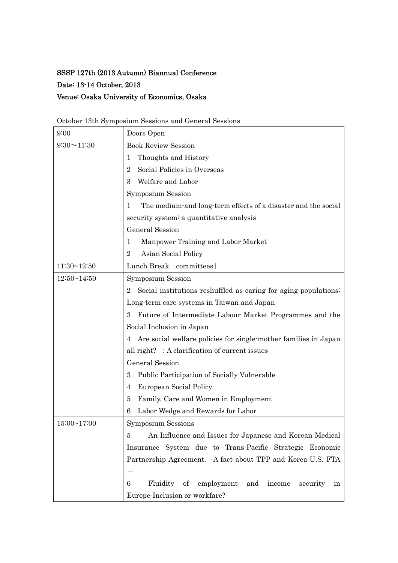## SSSP 127th (2013 Autumn) Biannual Conference

Date: 13-14 October, 2013

## Venue: Osaka University of Economics, Osaka

| 9:00               | Doors Open                                                                        |  |  |
|--------------------|-----------------------------------------------------------------------------------|--|--|
| $9:30 \sim 11:30$  | <b>Book Review Session</b>                                                        |  |  |
|                    | Thoughts and History<br>1                                                         |  |  |
|                    | Social Policies in Overseas<br>2                                                  |  |  |
|                    | Welfare and Labor<br>3                                                            |  |  |
|                    | <b>Symposium Session</b>                                                          |  |  |
|                    | The medium-and long-term effects of a disaster and the social<br>1                |  |  |
|                    | security system: a quantitative analysis                                          |  |  |
|                    | General Session                                                                   |  |  |
|                    | Manpower Training and Labor Market<br>1                                           |  |  |
|                    | Asian Social Policy<br>$\bf{2}$                                                   |  |  |
| $11:30 \sim 12:50$ | Lunch Break [committees]                                                          |  |  |
| $12:50 \sim 14:50$ | <b>Symposium Session</b>                                                          |  |  |
|                    | Social institutions reshuffled as caring for aging populations:<br>$\overline{2}$ |  |  |
|                    | Long-term care systems in Taiwan and Japan                                        |  |  |
|                    | Future of Intermediate Labour Market Programmes and the<br>3                      |  |  |
|                    | Social Inclusion in Japan                                                         |  |  |
|                    | Are social welfare policies for single-mother families in Japan<br>4              |  |  |
|                    | all right? : A clarification of current issues                                    |  |  |
|                    | <b>General Session</b>                                                            |  |  |
|                    | Public Participation of Socially Vulnerable<br>3                                  |  |  |
|                    | European Social Policy<br>4                                                       |  |  |
|                    | Family, Care and Women in Employment<br>5                                         |  |  |
|                    | Labor Wedge and Rewards for Labor<br>6                                            |  |  |
| 15:00~17:00        | <b>Symposium Sessions</b>                                                         |  |  |
|                    | An Influence and Issues for Japanese and Korean Medical<br>5                      |  |  |
|                    | Insurance System due to Trans-Pacific Strategic Economic                          |  |  |
|                    | Partnership Agreement. - A fact about TPP and Korea-U.S. FTA                      |  |  |
|                    |                                                                                   |  |  |
|                    | Fluidity of<br>employment<br>and<br>6<br>income<br>security<br>ın                 |  |  |
|                    | Europe-Inclusion or workfare?                                                     |  |  |